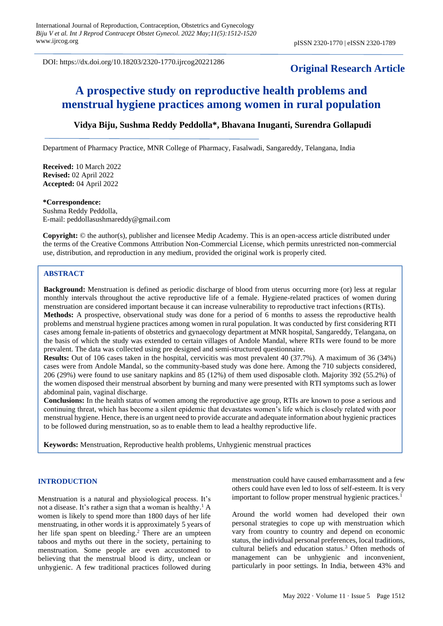DOI: https://dx.doi.org/10.18203/2320-1770.ijrcog20221286

# **Original Research Article**

# **A prospective study on reproductive health problems and menstrual hygiene practices among women in rural population**

# **Vidya Biju, Sushma Reddy Peddolla\*, Bhavana Inuganti, Surendra Gollapudi**

Department of Pharmacy Practice, MNR College of Pharmacy, Fasalwadi, Sangareddy, Telangana, India

**Received:** 10 March 2022 **Revised:** 02 April 2022 **Accepted:** 04 April 2022

#### **\*Correspondence:**

Sushma Reddy Peddolla, E-mail: peddollasushmareddy@gmail.com

**Copyright:** © the author(s), publisher and licensee Medip Academy. This is an open-access article distributed under the terms of the Creative Commons Attribution Non-Commercial License, which permits unrestricted non-commercial use, distribution, and reproduction in any medium, provided the original work is properly cited.

## **ABSTRACT**

**Background:** Menstruation is defined as periodic discharge of blood from uterus occurring more (or) less at regular monthly intervals throughout the active reproductive life of a female. Hygiene-related practices of women during menstruation are considered important because it can increase vulnerability to reproductive tract infections (RTIs). **Methods:** A prospective, observational study was done for a period of 6 months to assess the reproductive health problems and menstrual hygiene practices among women in rural population. It was conducted by first considering RTI cases among female in-patients of obstetrics and gynaecology department at MNR hospital, Sangareddy, Telangana, on the basis of which the study was extended to certain villages of Andole Mandal, where RTIs were found to be more prevalent. The data was collected using pre designed and semi-structured questionnaire.

**Results:** Out of 106 cases taken in the hospital, cervicitis was most prevalent 40 (37.7%). A maximum of 36 (34%) cases were from Andole Mandal, so the community-based study was done here. Among the 710 subjects considered, 206 (29%) were found to use sanitary napkins and 85 (12%) of them used disposable cloth. Majority 392 (55.2%) of the women disposed their menstrual absorbent by burning and many were presented with RTI symptoms such as lower abdominal pain, vaginal discharge.

**Conclusions:** In the health status of women among the reproductive age group, RTIs are known to pose a serious and continuing threat, which has become a silent epidemic that devastates women's life which is closely related with poor menstrual hygiene. Hence, there is an urgent need to provide accurate and adequate information about hygienic practices to be followed during menstruation, so as to enable them to lead a healthy reproductive life.

**Keywords:** Menstruation, Reproductive health problems, Unhygienic menstrual practices

#### **INTRODUCTION**

Menstruation is a natural and physiological process. It's not a disease. It's rather a sign that a woman is healthy. <sup>1</sup> A women is likely to spend more than 1800 days of her life menstruating, in other words it is approximately 5 years of her life span spent on bleeding.<sup>2</sup> There are an umpteen taboos and myths out there in the society, pertaining to menstruation. Some people are even accustomed to believing that the menstrual blood is dirty, unclean or unhygienic. A few traditional practices followed during

menstruation could have caused embarrassment and a few others could have even led to loss of self-esteem. It is very important to follow proper menstrual hygienic practices.<sup>1</sup>

Around the world women had developed their own personal strategies to cope up with menstruation which vary from country to country and depend on economic status, the individual personal preferences, local traditions, cultural beliefs and education status.<sup>3</sup> Often methods of management can be unhygienic and inconvenient, particularly in poor settings. In India, between 43% and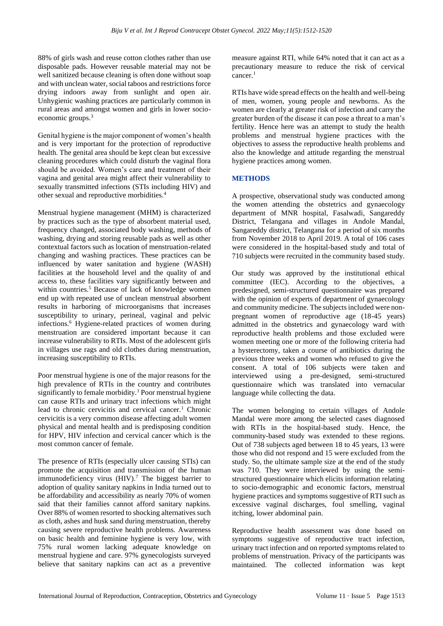88% of girls wash and reuse cotton clothes rather than use disposable pads. However reusable material may not be well sanitized because cleaning is often done without soap and with unclean water, social taboos and restrictions force drying indoors away from sunlight and open air. Unhygienic washing practices are particularly common in rural areas and amongst women and girls in lower socioeconomic groups.<sup>3</sup>

Genital hygiene is the major component of women's health and is very important for the protection of reproductive health. The genital area should be kept clean but excessive cleaning procedures which could disturb the vaginal flora should be avoided. Women's care and treatment of their vagina and genital area might affect their vulnerability to sexually transmitted infections (STIs including HIV) and other sexual and reproductive morbidities.<sup>4</sup>

Menstrual hygiene management (MHM) is characterized by practices such as the type of absorbent material used, frequency changed, associated body washing, methods of washing, drying and storing reusable pads as well as other contextual factors such as location of menstruation-related changing and washing practices. These practices can be influenced by water sanitation and hygiene (WASH) facilities at the household level and the quality of and access to, these facilities vary significantly between and within countries.<sup>5</sup> Because of lack of knowledge women end up with repeated use of unclean menstrual absorbent results in harboring of microorganisms that increases susceptibility to urinary, perineal, vaginal and pelvic infections.<sup>6</sup> Hygiene-related practices of women during menstruation are considered important because it can increase vulnerability to RTIs. Most of the adolescent girls in villages use rags and old clothes during menstruation, increasing susceptibility to RTIs.

Poor menstrual hygiene is one of the major reasons for the high prevalence of RTIs in the country and contributes significantly to female morbidity.<sup>1</sup> Poor menstrual hygiene can cause RTIs and urinary tract infections which might lead to chronic cervicitis and cervical cancer.<sup>1</sup> Chronic cervicitis is a very common disease affecting adult women physical and mental health and is predisposing condition for HPV, HIV infection and cervical cancer which is the most common cancer of female.

The presence of RTIs (especially ulcer causing STIs) can promote the acquisition and transmission of the human immunodeficiency virus  $(HIV)$ .<sup>7</sup> The biggest barrier to adoption of quality sanitary napkins in India turned out to be affordability and accessibility as nearly 70% of women said that their families cannot afford sanitary napkins. Over 88% of women resorted to shocking alternatives such as cloth, ashes and husk sand during menstruation, thereby causing severe reproductive health problems. Awareness on basic health and feminine hygiene is very low, with 75% rural women lacking adequate knowledge on menstrual hygiene and care. 97% gynecologists surveyed believe that sanitary napkins can act as a preventive measure against RTI, while 64% noted that it can act as a precautionary measure to reduce the risk of cervical cancer.<sup>1</sup>

RTIs have wide spread effects on the health and well-being of men, women, young people and newborns. As the women are clearly at greater risk of infection and carry the greater burden of the disease it can pose a threat to a man's fertility. Hence here was an attempt to study the health problems and menstrual hygiene practices with the objectives to assess the reproductive health problems and also the knowledge and attitude regarding the menstrual hygiene practices among women.

## **METHODS**

A prospective, observational study was conducted among the women attending the obstetrics and gynaecology department of MNR hospital, Fasalwadi, Sangareddy District, Telangana and villages in Andole Mandal, Sangareddy district, Telangana for a period of six months from November 2018 to April 2019. A total of 106 cases were considered in the hospital-based study and total of 710 subjects were recruited in the community based study.

Our study was approved by the institutional ethical committee (IEC). According to the objectives, a predesigned, semi-structured questionnaire was prepared with the opinion of experts of department of gynaecology and community medicine. The subjects included were nonpregnant women of reproductive age (18-45 years) admitted in the obstetrics and gynaecology ward with reproductive health problems and those excluded were women meeting one or more of the following criteria had a hysterectomy, taken a course of antibiotics during the previous three weeks and women who refused to give the consent. A total of 106 subjects were taken and interviewed using a pre-designed, semi-structured questionnaire which was translated into vernacular language while collecting the data.

The women belonging to certain villages of Andole Mandal were more among the selected cases diagnosed with RTIs in the hospital-based study. Hence, the community-based study was extended to these regions. Out of 738 subjects aged between 18 to 45 years, 13 were those who did not respond and 15 were excluded from the study. So, the ultimate sample size at the end of the study was 710. They were interviewed by using the semistructured questionnaire which elicits information relating to socio-demographic and economic factors, menstrual hygiene practices and symptoms suggestive of RTI such as excessive vaginal discharges, foul smelling, vaginal itching, lower abdominal pain.

Reproductive health assessment was done based on symptoms suggestive of reproductive tract infection, urinary tract infection and on reported symptoms related to problems of menstruation. Privacy of the participants was maintained. The collected information was kept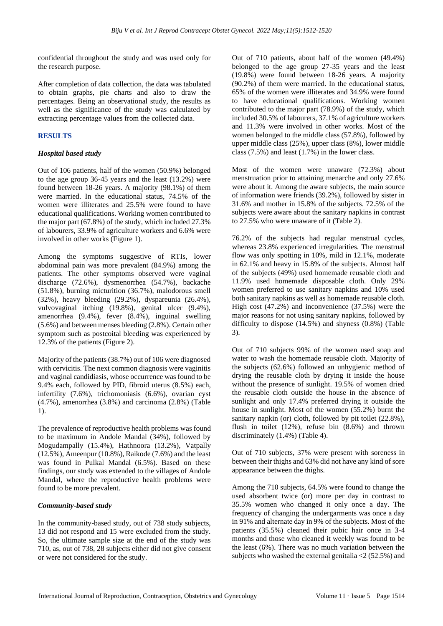confidential throughout the study and was used only for the research purpose.

After completion of data collection, the data was tabulated to obtain graphs, pie charts and also to draw the percentages. Being an observational study, the results as well as the significance of the study was calculated by extracting percentage values from the collected data.

## **RESULTS**

#### *Hospital based study*

Out of 106 patients, half of the women (50.9%) belonged to the age group 36-45 years and the least (13.2%) were found between 18-26 years. A majority (98.1%) of them were married. In the educational status, 74.5% of the women were illiterates and 25.5% were found to have educational qualifications. Working women contributed to the major part (67.8%) of the study, which included 27.3% of labourers, 33.9% of agriculture workers and 6.6% were involved in other works (Figure 1).

Among the symptoms suggestive of RTIs, lower abdominal pain was more prevalent (84.9%) among the patients. The other symptoms observed were vaginal discharge (72.6%), dysmenorrhea (54.7%), backache (51.8%), burning micturition (36.7%), malodorous smell (32%), heavy bleeding (29.2%), dyspareunia (26.4%), vulvovaginal itching (19.8%), genital ulcer (9.4%), amenorrhea (9.4%), fever (8.4%), inguinal swelling (5.6%) and between menses bleeding (2.8%). Certain other symptom such as postcoital bleeding was experienced by 12.3% of the patients (Figure 2).

Majority of the patients (38.7%) out of 106 were diagnosed with cervicitis. The next common diagnosis were vaginitis and vaginal candidiasis, whose occurrence was found to be 9.4% each, followed by PID, fibroid uterus (8.5%) each, infertility (7.6%), trichomoniasis (6.6%), ovarian cyst (4.7%), amenorrhea (3.8%) and carcinoma (2.8%) (Table 1).

The prevalence of reproductive health problems was found to be maximum in Andole Mandal (34%), followed by Mogudampally (15.4%), Hathnoora (13.2%), Vatpally (12.5%), Ameenpur (10.8%), Raikode (7.6%) and the least was found in Pulkal Mandal (6.5%). Based on these findings, our study was extended to the villages of Andole Mandal, where the reproductive health problems were found to be more prevalent.

## *Community-based study*

In the community-based study, out of 738 study subjects, 13 did not respond and 15 were excluded from the study. So, the ultimate sample size at the end of the study was 710, as, out of 738, 28 subjects either did not give consent or were not considered for the study.

Out of 710 patients, about half of the women (49.4%) belonged to the age group 27-35 years and the least (19.8%) were found between 18-26 years. A majority (90.2%) of them were married. In the educational status, 65% of the women were illiterates and 34.9% were found to have educational qualifications. Working women contributed to the major part (78.9%) of the study, which included 30.5% of labourers, 37.1% of agriculture workers and 11.3% were involved in other works. Most of the women belonged to the middle class (57.8%), followed by upper middle class (25%), upper class (8%), lower middle class (7.5%) and least (1.7%) in the lower class.

Most of the women were unaware (72.3%) about menstruation prior to attaining menarche and only 27.6% were about it. Among the aware subjects, the main source of information were friends (39.2%), followed by sister in 31.6% and mother in 15.8% of the subjects. 72.5% of the subjects were aware about the sanitary napkins in contrast to 27.5% who were unaware of it (Table 2).

76.2% of the subjects had regular menstrual cycles, whereas 23.8% experienced irregularities. The menstrual flow was only spotting in 10%, mild in 12.1%, moderate in 62.1% and heavy in 15.8% of the subjects. Almost half of the subjects (49%) used homemade reusable cloth and 11.9% used homemade disposable cloth. Only 29% women preferred to use sanitary napkins and 10% used both sanitary napkins as well as homemade reusable cloth. High cost (47.2%) and inconvenience (37.5%) were the major reasons for not using sanitary napkins, followed by difficulty to dispose (14.5%) and shyness (0.8%) (Table 3).

Out of 710 subjects 99% of the women used soap and water to wash the homemade reusable cloth. Majority of the subjects (62.6%) followed an unhygienic method of drying the reusable cloth by drying it inside the house without the presence of sunlight. 19.5% of women dried the reusable cloth outside the house in the absence of sunlight and only 17.4% preferred drying it outside the house in sunlight. Most of the women (55.2%) burnt the sanitary napkin (or) cloth, followed by pit toilet  $(22.8\%)$ , flush in toilet (12%), refuse bin (8.6%) and thrown discriminately (1.4%) (Table 4).

Out of 710 subjects, 37% were present with soreness in between their thighs and 63% did not have any kind of sore appearance between the thighs.

Among the 710 subjects, 64.5% were found to change the used absorbent twice (or) more per day in contrast to 35.5% women who changed it only once a day. The frequency of changing the undergarments was once a day in 91% and alternate day in 9% of the subjects. Most of the patients (35.5%) cleaned their pubic hair once in 3-4 months and those who cleaned it weekly was found to be the least (6%). There was no much variation between the subjects who washed the external genitalia  $\langle 2 (52.5\%)$  and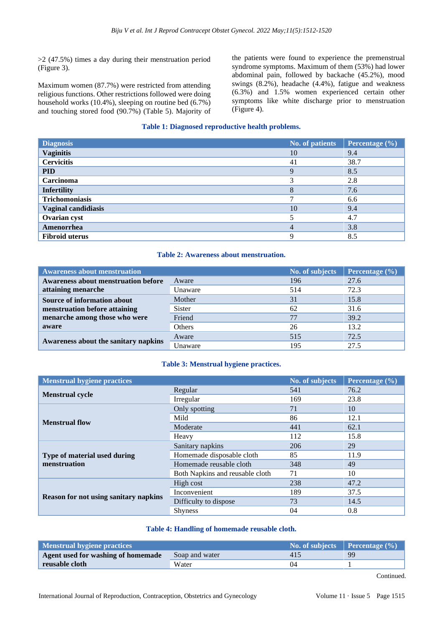>2 (47.5%) times a day during their menstruation period (Figure 3).

Maximum women (87.7%) were restricted from attending religious functions. Other restrictions followed were doing household works (10.4%), sleeping on routine bed (6.7%) and touching stored food (90.7%) (Table 5). Majority of the patients were found to experience the premenstrual syndrome symptoms. Maximum of them (53%) had lower abdominal pain, followed by backache (45.2%), mood swings (8.2%), headache (4.4%), fatigue and weakness (6.3%) and 1.5% women experienced certain other symptoms like white discharge prior to menstruation (Figure 4).

## **Table 1: Diagnosed reproductive health problems.**

| <b>Diagnosis</b>           | <b>No. of patients</b> | Percentage (%) |
|----------------------------|------------------------|----------------|
| <b>Vaginitis</b>           | 10                     | 9.4            |
| <b>Cervicitis</b>          | 41                     | 38.7           |
| <b>PID</b>                 | $\mathbf Q$            | 8.5            |
| <b>Carcinoma</b>           | 3                      | 2.8            |
| <b>Infertility</b>         | 8                      | 7.6            |
| <b>Trichomoniasis</b>      |                        | 6.6            |
| <b>Vaginal candidiasis</b> | 10                     | 9.4            |
| Ovarian cyst               |                        | 4.7            |
| Amenorrhea                 |                        | 3.8            |
| <b>Fibroid uterus</b>      | Q                      | 8.5            |

#### **Table 2: Awareness about menstruation.**

| <b>Awareness about menstruation</b>        |                  | No. of subjects | Percentage $(\% )$ |
|--------------------------------------------|------------------|-----------------|--------------------|
| <b>Awareness about menstruation before</b> | Aware            | 196             | 27.6               |
| attaining menarche                         | Unaware          | 514             | 72.3               |
| Source of information about                | Mother           | 31              | 15.8               |
| menstruation before attaining              | <b>Sister</b>    | 62              | 31.6               |
| menarche among those who were              | Friend           | 77              | 39.2               |
| aware                                      | Others           | 26              | 13.2               |
| Awareness about the sanitary napkins       | Aware            | 515             | 72.5               |
|                                            | <i>(Jnaware)</i> | 195             | 27.5               |

## **Table 3: Menstrual hygiene practices.**

| <b>Menstrual hygiene practices</b>           |                                 | No. of subjects | Percentage (%) |
|----------------------------------------------|---------------------------------|-----------------|----------------|
| <b>Menstrual cycle</b>                       | Regular                         | 541             | 76.2           |
|                                              | Irregular                       | 169             | 23.8           |
|                                              | Only spotting                   | 71              | 10             |
| <b>Menstrual flow</b>                        | Mild                            | 86              | 12.1           |
|                                              | Moderate                        | 441             | 62.1           |
|                                              | Heavy                           | 112             | 15.8           |
| Type of material used during<br>menstruation | Sanitary napkins                | 206             | 29             |
|                                              | Homemade disposable cloth       | 85              | 11.9           |
|                                              | Homemade reusable cloth         | 348             | 49             |
|                                              | Both Napkins and reusable cloth | 71              | 10             |
| <b>Reason for not using sanitary napkins</b> | High cost                       | 238             | 47.2           |
|                                              | Inconvenient                    | 189             | 37.5           |
|                                              | Difficulty to dispose           | 73              | 14.5           |
|                                              | <b>Shyness</b>                  | 04              | 0.8            |

#### **Table 4: Handling of homemade reusable cloth.**

| Menstrual hygiene practices        |                | No. of subjects Percentage $(\%)$ |    |
|------------------------------------|----------------|-----------------------------------|----|
| Agent used for washing of homemade | Soap and water | 415                               | 99 |
| reusable cloth                     | Water          | 04                                |    |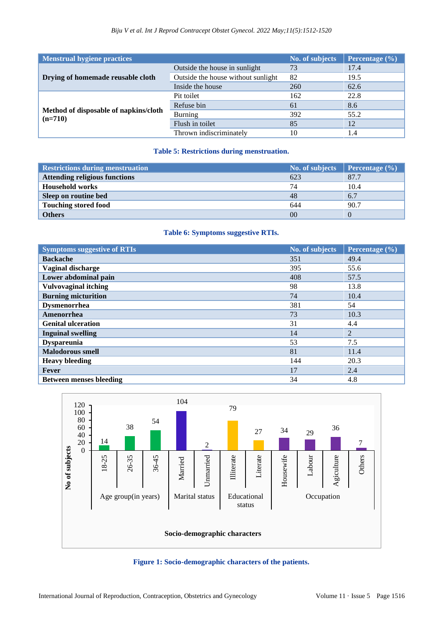| Menstrual hygiene practices                        |                                    | No. of subjects | Percentage (%) |
|----------------------------------------------------|------------------------------------|-----------------|----------------|
| Drying of homemade reusable cloth                  | Outside the house in sunlight      | 73              | 17.4           |
|                                                    | Outside the house without sunlight | 82              | 19.5           |
|                                                    | Inside the house                   | 260             | 62.6           |
| Method of disposable of napkins/cloth<br>$(n=710)$ | Pit toilet                         | 162             | 22.8           |
|                                                    | Refuse bin                         | 61              | 8.6            |
|                                                    | <b>Burning</b>                     | 392             | 55.2           |
|                                                    | Flush in toilet                    | 85              | 12             |
|                                                    | Thrown indiscriminately            | 10              | 1.4            |

# **Table 5: Restrictions during menstruation.**

| <b>Restrictions during menstruation</b> | No. of subjects | <b>Percentage</b> $(\% )$ |
|-----------------------------------------|-----------------|---------------------------|
| <b>Attending religious functions</b>    | 623             | 87.7                      |
| <b>Household works</b>                  | 74              | 10.4                      |
| Sleep on routine bed                    | 48              | 6.7                       |
| <b>Touching stored food</b>             | 644             | 90.7                      |
| <b>Others</b>                           | 00              |                           |

# **Table 6: Symptoms suggestive RTIs.**

| <b>Symptoms suggestive of RTIs</b> | No. of subjects | Percentage $(\% )$ |
|------------------------------------|-----------------|--------------------|
| <b>Backache</b>                    | 351             | 49.4               |
| Vaginal discharge                  | 395             | 55.6               |
| Lower abdominal pain               | 408             | 57.5               |
| <b>Vulvovaginal itching</b>        | 98              | 13.8               |
| <b>Burning micturition</b>         | 74              | 10.4               |
| <b>Dysmenorrhea</b>                | 381             | 54                 |
| Amenorrhea                         | 73              | 10.3               |
| <b>Genital ulceration</b>          | 31              | 4.4                |
| <b>Inguinal swelling</b>           | 14              | $\overline{2}$     |
| <b>Dyspareunia</b>                 | 53              | 7.5                |
| <b>Malodorous smell</b>            | 81              | 11.4               |
| <b>Heavy bleeding</b>              | 144             | 20.3               |
| Fever                              | 17              | 2.4                |
| <b>Between menses bleeding</b>     | 34              | 4.8                |



**Figure 1: Socio-demographic characters of the patients.**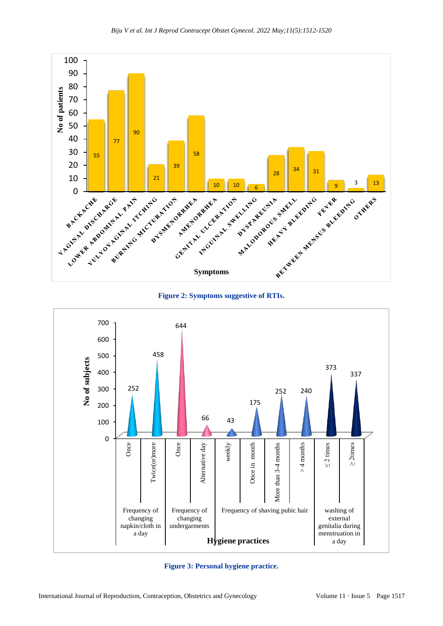





**Figure 3: Personal hygiene practice.**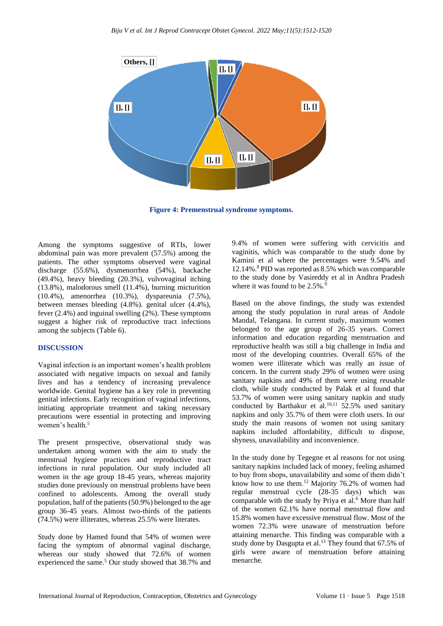

**Figure 4: Premenstrual syndrome symptoms.**

Among the symptoms suggestive of RTIs, lower abdominal pain was more prevalent (57.5%) among the patients. The other symptoms observed were vaginal discharge (55.6%), dysmenorrhea (54%), backache (49.4%), heavy bleeding (20.3%), vulvovaginal itching (13.8%), malodorous smell (11.4%), burning micturition (10.4%), amenorrhea (10.3%), dyspareunia (7.5%), between menses bleeding (4.8%). genital ulcer (4.4%), fever (2.4%) and inguinal swelling (2%). These symptoms suggest a higher risk of reproductive tract infections among the subjects (Table 6).

## **DISCUSSION**

Vaginal infection is an important women's health problem associated with negative impacts on sexual and family lives and has a tendency of increasing prevalence worldwide. Genital hygiene has a key role in preventing genital infections. Early recognition of vaginal infections, initiating appropriate treatment and taking necessary precautions were essential in protecting and improving women's health.<sup>5</sup>

The present prospective, observational study was undertaken among women with the aim to study the menstrual hygiene practices and reproductive tract infections in rural population. Our study included all women in the age group 18-45 years, whereas majority studies done previously on menstrual problems have been confined to adolescents. Among the overall study population, half of the patients (50.9%) belonged to the age group 36-45 years. Almost two-thirds of the patients (74.5%) were illiterates, whereas 25.5% were literates.

Study done by Hamed found that 54% of women were facing the symptom of abnormal vaginal discharge, whereas our study showed that 72.6% of women experienced the same.<sup>5</sup> Our study showed that 38.7% and 9.4% of women were suffering with cervicitis and vaginitis, which was comparable to the study done by Kamini et al where the percentages were 9.54% and 12.14%.<sup>8</sup> PID was reported as 8.5% which was comparable to the study done by Vasireddy et al in Andhra Pradesh where it was found to be  $2.5\%$ .

Based on the above findings, the study was extended among the study population in rural areas of Andole Mandal, Telangana. In current study, maximum women belonged to the age group of 26-35 years. Correct information and education regarding menstruation and reproductive health was still a big challenge in India and most of the developing countries. Overall 65% of the women were illiterate which was really an issue of concern. In the current study 29% of women were using sanitary napkins and 49% of them were using reusable cloth, while study conducted by Palak et al found that 53.7% of women were using sanitary napkin and study conducted by Barthakur et al.<sup>10,11</sup> 52.5% used sanitary napkins and only 35.7% of them were cloth users. In our study the main reasons of women not using sanitary napkins included affordability, difficult to dispose, shyness, unavailability and inconvenience.

In the study done by Tegegne et al reasons for not using sanitary napkins included lack of money, feeling ashamed to buy from shops, unavailability and some of them didn't know how to use them.<sup>12</sup> Majority 76.2% of women had regular menstrual cycle (28-35 days) which was comparable with the study by Priya et al.<sup>6</sup> More than half of the women 62.1% have normal menstrual flow and 15.8% women have excessive menstrual flow. Most of the women 72.3% were unaware of menstruation before attaining menarche. This finding was comparable with a study done by Dasgupta et al.<sup>13</sup> They found that 67.5% of girls were aware of menstruation before attaining menarche.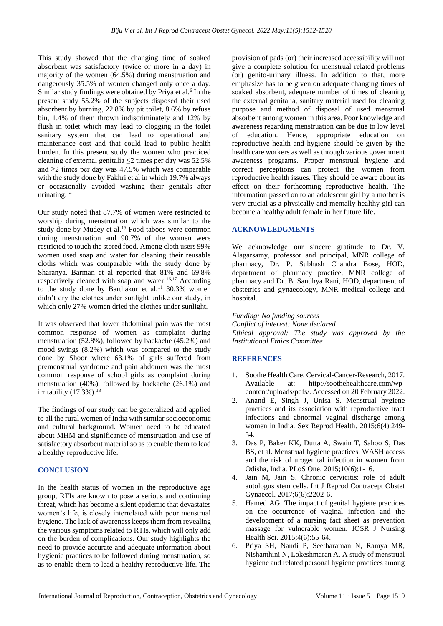This study showed that the changing time of soaked absorbent was satisfactory (twice or more in a day) in majority of the women (64.5%) during menstruation and dangerously 35.5% of women changed only once a day. Similar study findings were obtained by Priya et al.<sup>6</sup> In the present study 55.2% of the subjects disposed their used absorbent by burning, 22.8% by pit toilet, 8.6% by refuse bin, 1.4% of them thrown indiscriminately and 12% by flush in toilet which may lead to clogging in the toilet sanitary system that can lead to operational and maintenance cost and that could lead to public health burden. In this present study the women who practiced cleaning of external genitalia ≤2 times per day was 52.5% and ≥2 times per day was 47.5% which was comparable with the study done by Fakhri et al in which 19.7% always or occasionally avoided washing their genitals after urinating.<sup>14</sup>

Our study noted that 87.7% of women were restricted to worship during menstruation which was similar to the study done by Mudey et al.<sup>15</sup> Food taboos were common during menstruation and 90.7% of the women were restricted to touch the stored food. Among cloth users 99% women used soap and water for cleaning their reusable cloths which was comparable with the study done by Sharanya, Barman et al reported that 81% and 69.8% respectively cleaned with soap and water.<sup>16,17</sup> According to the study done by Barthakur et al.<sup>11</sup> 30.3% women didn't dry the clothes under sunlight unlike our study, in which only 27% women dried the clothes under sunlight.

It was observed that lower abdominal pain was the most common response of women as complaint during menstruation (52.8%), followed by backache (45.2%) and mood swings (8.2%) which was compared to the study done by Shoor where 63.1% of girls suffered from premenstrual syndrome and pain abdomen was the most common response of school girls as complaint during menstruation (40%), followed by backache (26.1%) and irritability  $(17.3\%)$ .<sup>18</sup>

The findings of our study can be generalized and applied to all the rural women of India with similar socioeconomic and cultural background. Women need to be educated about MHM and significance of menstruation and use of satisfactory absorbent material so as to enable them to lead a healthy reproductive life.

## **CONCLUSION**

In the health status of women in the reproductive age group, RTIs are known to pose a serious and continuing threat, which has become a silent epidemic that devastates women's life, is closely interrelated with poor menstrual hygiene. The lack of awareness keeps them from revealing the various symptoms related to RTIs, which will only add on the burden of complications. Our study highlights the need to provide accurate and adequate information about hygienic practices to be followed during menstruation, so as to enable them to lead a healthy reproductive life. The provision of pads (or) their increased accessibility will not give a complete solution for menstrual related problems (or) genito-urinary illness. In addition to that, more emphasize has to be given on adequate changing times of soaked absorbent, adequate number of times of cleaning the external genitalia, sanitary material used for cleaning purpose and method of disposal of used menstrual absorbent among women in this area. Poor knowledge and awareness regarding menstruation can be due to low level of education. Hence, appropriate education on reproductive health and hygiene should be given by the health care workers as well as through various government awareness programs. Proper menstrual hygiene and correct perceptions can protect the women from reproductive health issues. They should be aware about its effect on their forthcoming reproductive health. The information passed on to an adolescent girl by a mother is very crucial as a physically and mentally healthy girl can become a healthy adult female in her future life.

## **ACKNOWLEDGMENTS**

We acknowledge our sincere gratitude to Dr. V. Alagarsamy, professor and principal, MNR college of pharmacy, Dr. P. Subhash Chandra Bose, HOD, department of pharmacy practice, MNR college of pharmacy and Dr. B. Sandhya Rani, HOD, department of obstetrics and gynaecology, MNR medical college and hospital.

*Funding: No funding sources Conflict of interest: None declared Ethical approval: The study was approved by the Institutional Ethics Committee*

## **REFERENCES**

- 1. Soothe Health Care. Cervical-Cancer-Research, 2017. Available at: http://soothehealthcare.com/wpcontent/uploads/pdfs/. Accessed on 20 February 2022.
- 2. Anand E, Singh J, Unisa S. Menstrual hygiene practices and its association with reproductive tract infections and abnormal vaginal discharge among women in India. Sex Reprod Health. 2015;6(4):249- 54.
- 3. Das P, Baker KK, Dutta A, Swain T, Sahoo S, Das BS, et al. Menstrual hygiene practices, WASH access and the risk of urogenital infection in women from Odisha, India. PLoS One. 2015;10(6):1-16.
- 4. Jain M, Jain S. Chronic cervicitis: role of adult autologus stem cells. Int J Reprod Contracept Obstet Gynaecol. 2017;6(6):2202-6.
- 5. Hamed AG. The impact of genital hygiene practices on the occurrence of vaginal infection and the development of a nursing fact sheet as prevention massage for vulnerable women. IOSR J Nursing Health Sci. 2015;4(6):55-64.
- 6. Priya SH, Nandi P, Seetharaman N, Ramya MR, Nishanthini N, Lokeshmaran A. A study of menstrual hygiene and related personal hygiene practices among